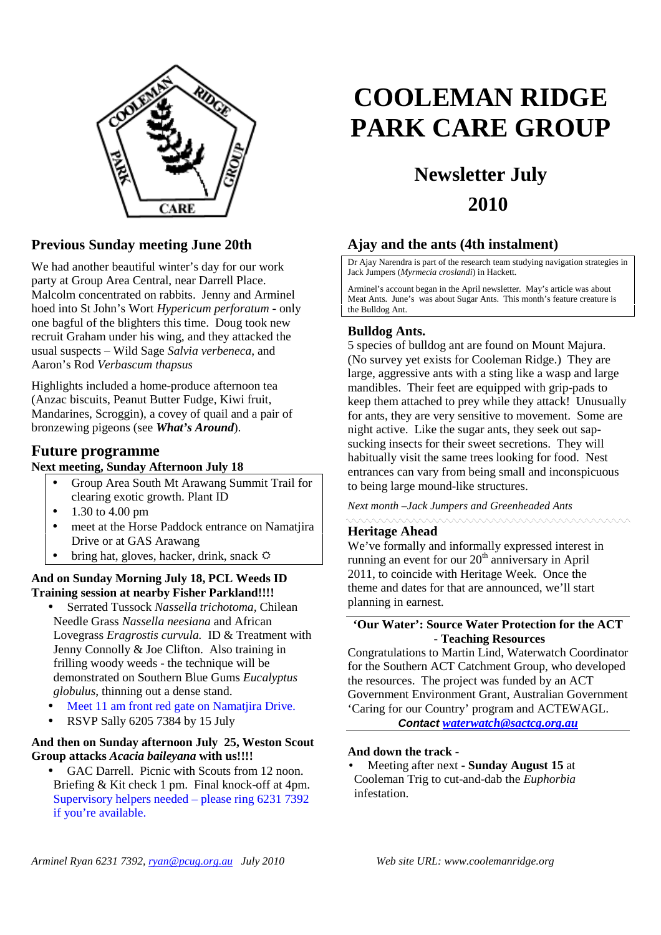

## **Previous Sunday meeting June 20th**

We had another beautiful winter's day for our work party at Group Area Central, near Darrell Place. Malcolm concentrated on rabbits. Jenny and Arminel hoed into St John's Wort *Hypericum perforatum -* only one bagful of the blighters this time. Doug took new recruit Graham under his wing, and they attacked the usual suspects – Wild Sage *Salvia verbeneca*, and Aaron's Rod *Verbascum thapsus*

Highlights included a home-produce afternoon tea (Anzac biscuits, Peanut Butter Fudge, Kiwi fruit, Mandarines, Scroggin), a covey of quail and a pair of bronzewing pigeons (see *What's Around*).

### **Future programme**

#### **Next meeting, Sunday Afternoon July 18**

- Group Area South Mt Arawang Summit Trail for clearing exotic growth. Plant ID
- 1.30 to 4.00 pm
- meet at the Horse Paddock entrance on Namatjira Drive or at GAS Arawang
- bring hat, gloves, hacker, drink, snack  $\ddot{\varphi}$

**And on Sunday Morning July 18, PCL Weeds ID Training session at nearby Fisher Parkland!!!!**

- Serrated Tussock *Nassella trichotoma,* Chilean Needle Grass *Nassella neesiana* and African Lovegrass *Eragrostis curvula.* ID & Treatment with Jenny Connolly & Joe Clifton. Also training in frilling woody weeds - the technique will be demonstrated on Southern Blue Gums *Eucalyptus globulus*, thinning out a dense stand.
- Meet 11 am front red gate on Namatjira Drive.
- RSVP Sally 6205 7384 by 15 July

#### **And then on Sunday afternoon July 25, Weston Scout Group attacks** *Acacia baileyana* **with us!!!!**

GAC Darrell. Picnic with Scouts from 12 noon. Briefing & Kit check 1 pm. Final knock-off at 4pm. Supervisory helpers needed – please ring 6231 7392 if you're available.

# **COOLEMAN RIDGE PARK CARE GROUP**

## **Newsletter July 2010**

## **Ajay and the ants (4th instalment)**

Dr Ajay Narendra is part of the research team studying navigation strategies in Jack Jumpers (*Myrmecia croslandi*) in Hackett.

Arminel's account began in the April newsletter. May's article was about Meat Ants. June's was about Sugar Ants. This month's feature creature is the Bulldog Ant.

#### **Bulldog Ants.**

5 species of bulldog ant are found on Mount Majura. (No survey yet exists for Cooleman Ridge.) They are large, aggressive ants with a sting like a wasp and large mandibles. Their feet are equipped with grip-pads to keep them attached to prey while they attack! Unusually for ants, they are very sensitive to movement. Some are night active. Like the sugar ants, they seek out sapsucking insects for their sweet secretions. They will habitually visit the same trees looking for food. Nest entrances can vary from being small and inconspicuous to being large mound-like structures.

*Next month –Jack Jumpers and Greenheaded Ants*

#### **Heritage Ahead**

We've formally and informally expressed interest in running an event for our  $20<sup>th</sup>$  anniversary in April 2011, to coincide with Heritage Week. Once the theme and dates for that are announced, we'll start planning in earnest.

#### **'Our Water': Source Water Protection for the ACT - Teaching Resources**

Congratulations to Martin Lind, Waterwatch Coordinator for the Southern ACT Catchment Group, who developed the resources. The project was funded by an ACT Government Environment Grant, Australian Government 'Caring for our Country' program and ACTEWAGL.

**Contact** *waterwatch@sactcg.org.au*

#### **And down the track -**

• Meeting after next **- Sunday August 15** at Cooleman Trig to cut-and-dab the *Euphorbia* infestation.